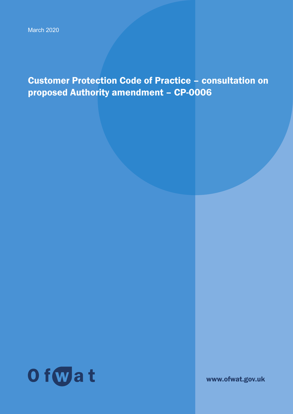Customer Protection Code of Practice – consultation on proposed Authority amendment – CP-0006



www.ofwat.gov.uk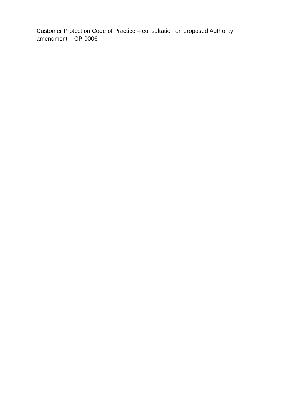Customer Protection Code of Practice – consultation on proposed Authority amendment – CP-0006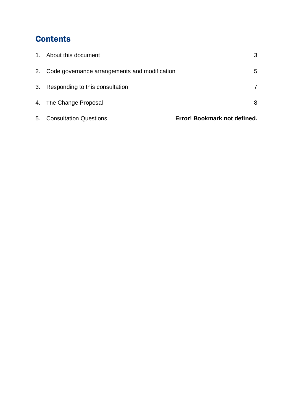# **Contents**

| $1_{\cdot}$ | About this document                              | 3                            |
|-------------|--------------------------------------------------|------------------------------|
|             | 2. Code governance arrangements and modification | 5                            |
| 3.          | Responding to this consultation                  |                              |
|             | 4. The Change Proposal                           | 8                            |
| 5.          | <b>Consultation Questions</b>                    | Error! Bookmark not defined. |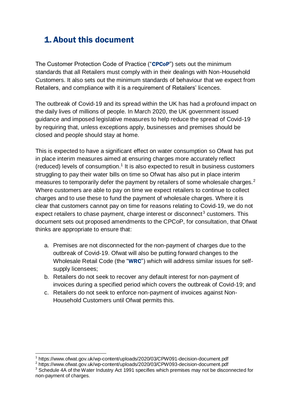# 1. About this document

The Customer Protection Code of Practice ("CPCoP") sets out the minimum standards that all Retailers must comply with in their dealings with Non-Household Customers. It also sets out the minimum standards of behaviour that we expect from Retailers, and compliance with it is a requirement of Retailers' licences.

The outbreak of Covid-19 and its spread within the UK has had a profound impact on the daily lives of millions of people. In March 2020, the UK government issued guidance and imposed legislative measures to help reduce the spread of Covid-19 by requiring that, unless exceptions apply, businesses and premises should be closed and people should stay at home.

This is expected to have a significant effect on water consumption so Ofwat has put in place interim measures aimed at ensuring charges more accurately reflect (reduced) levels of consumption. 1 It is also expected to result in business customers struggling to pay their water bills on time so Ofwat has also put in place interim measures to temporarily defer the payment by retailers of some wholesale charges.<sup>2</sup> Where customers are able to pay on time we expect retailers to continue to collect charges and to use these to fund the payment of wholesale charges. Where it is clear that customers cannot pay on time for reasons relating to Covid-19, we do not expect retailers to chase payment, charge interest or disconnect<sup>3</sup> customers. This document sets out proposed amendments to the CPCoP, for consultation, that Ofwat thinks are appropriate to ensure that:

- a. Premises are not disconnected for the non-payment of charges due to the outbreak of Covid-19. Ofwat will also be putting forward changes to the Wholesale Retail Code (the "WRC") which will address similar issues for selfsupply licensees;
- b. Retailers do not seek to recover any default interest for non-payment of invoices during a specified period which covers the outbreak of Covid-19; and
- c. Retailers do not seek to enforce non-payment of invoices against Non-Household Customers until Ofwat permits this.

-

<sup>1</sup> https://www.ofwat.gov.uk/wp-content/uploads/2020/03/CPW091-decision-document.pdf

<sup>&</sup>lt;sup>2</sup> https://www.ofwat.gov.uk/wp-content/uploads/2020/03/CPW093-decision-document.pdf

<sup>&</sup>lt;sup>3</sup> Schedule 4A of the Water Industry Act 1991 specifies which premises may not be disconnected for non-payment of charges.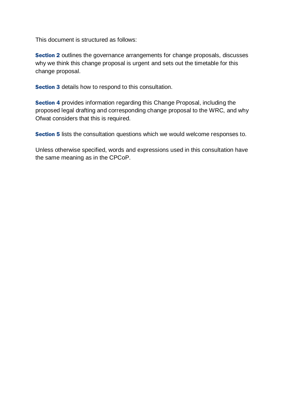This document is structured as follows:

Section 2 outlines the governance arrangements for change proposals, discusses why we think this change proposal is urgent and sets out the timetable for this change proposal.

Section 3 details how to respond to this consultation.

Section 4 provides information regarding this Change Proposal, including the proposed legal drafting and corresponding change proposal to the WRC, and why Ofwat considers that this is required.

Section 5 lists the consultation questions which we would welcome responses to.

Unless otherwise specified, words and expressions used in this consultation have the same meaning as in the CPCoP.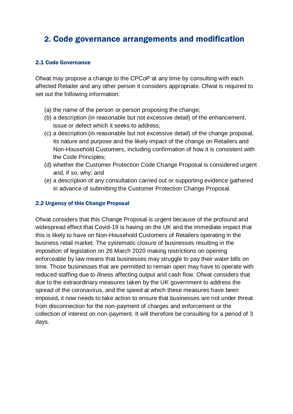# 2. Code governance arrangements and modification

#### 2.1 Code Governance

Ofwat may propose a change to the CPCoP at any time by consulting with each affected Retailer and any other person it considers appropriate. Ofwat is required to set out the following information:

- (a) the name of the person or person proposing the change;
- (b) a description (in reasonable but not excessive detail) of the enhancement, issue or defect which it seeks to address;
- (c) a description (in reasonable but not excessive detail) of the change proposal, its nature and purpose and the likely impact of the change on Retailers and Non-Household Customers, including confirmation of how it is consistent with the Code Principles;
- (d) whether the Customer Protection Code Change Proposal is considered urgent and, if so, why; and
- (e) a description of any consultation carried out or supporting evidence gathered in advance of submitting the Customer Protection Change Proposal.

## 2.2 Urgency of this Change Proposal

Ofwat considers that this Change Proposal is urgent because of the profound and widespread effect that Covid-19 is having on the UK and the immediate impact that this is likely to have on Non-Household Customers of Retailers operating in the business retail market. The systematic closure of businesses resulting in the imposition of legislation on 26 March 2020 making restrictions on opening enforceable by law means that businesses may struggle to pay their water bills on time. Those businesses that are permitted to remain open may have to operate with reduced staffing due to illness affecting output and cash flow. Ofwat considers that due to the extraordinary measures taken by the UK government to address the spread of the coronavirus, and the speed at which these measures have been imposed, it now needs to take action to ensure that businesses are not under threat from disconnection for the non-payment of charges and enforcement or the collection of interest on non-payment. It will therefore be consulting for a period of 3 days.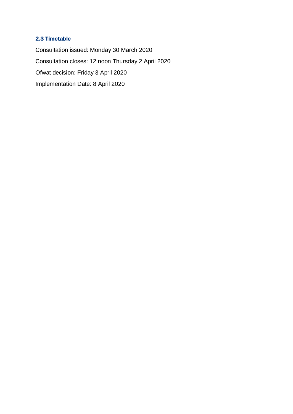## 2.3 Timetable

Consultation issued: Monday 30 March 2020 Consultation closes: 12 noon Thursday 2 April 2020 Ofwat decision: Friday 3 April 2020 Implementation Date: 8 April 2020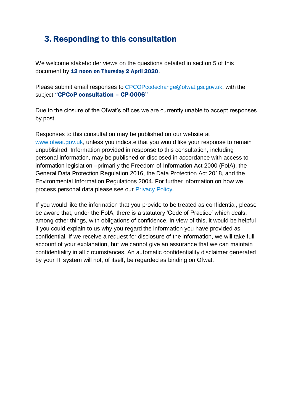## 3.Responding to this consultation

We welcome stakeholder views on the questions detailed in section 5 of this document by 12 noon on Thursday 2 April 2020.

Please submit email responses to [CPCOPcodechange@ofwat.gsi.gov.uk,](mailto:CPCOPcodechange@ofwat.gsi.gov.uk) with the subject "CPCoP consultation – CP-0006"

Due to the closure of the Ofwat's offices we are currently unable to accept responses by post.

Responses to this consultation may be published on our website at [www.ofwat.gov.uk,](http://www.ofwat.gov.uk/) unless you indicate that you would like your response to remain unpublished. Information provided in response to this consultation, including personal information, may be published or disclosed in accordance with access to information legislation –primarily the Freedom of Information Act 2000 (FoIA), the General Data Protection Regulation 2016, the Data Protection Act 2018, and the Environmental Information Regulations 2004. For further information on how we process personal data please see our [Privacy Policy.](https://www.ofwat.gov.uk/publication/privacy-policy/)

If you would like the information that you provide to be treated as confidential, please be aware that, under the FoIA, there is a statutory 'Code of Practice' which deals, among other things, with obligations of confidence. In view of this, it would be helpful if you could explain to us why you regard the information you have provided as confidential. If we receive a request for disclosure of the information, we will take full account of your explanation, but we cannot give an assurance that we can maintain confidentiality in all circumstances. An automatic confidentiality disclaimer generated by your IT system will not, of itself, be regarded as binding on Ofwat.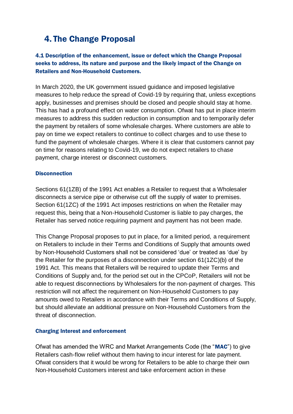## 4. The Change Proposal

## 4.1 Description of the enhancement, issue or defect which the Change Proposal seeks to address, its nature and purpose and the likely impact of the Change on Retailers and Non-Household Customers.

In March 2020, the UK government issued guidance and imposed legislative measures to help reduce the spread of Covid-19 by requiring that, unless exceptions apply, businesses and premises should be closed and people should stay at home. This has had a profound effect on water consumption. Ofwat has put in place interim measures to address this sudden reduction in consumption and to temporarily defer the payment by retailers of some wholesale charges. Where customers are able to pay on time we expect retailers to continue to collect charges and to use these to fund the payment of wholesale charges. Where it is clear that customers cannot pay on time for reasons relating to Covid-19, we do not expect retailers to chase payment, charge interest or disconnect customers.

## **Disconnection**

Sections 61(1ZB) of the 1991 Act enables a Retailer to request that a Wholesaler disconnects a service pipe or otherwise cut off the supply of water to premises. Section 61(1ZC) of the 1991 Act imposes restrictions on when the Retailer may request this, being that a Non-Household Customer is liable to pay charges, the Retailer has served notice requiring payment and payment has not been made.

This Change Proposal proposes to put in place, for a limited period, a requirement on Retailers to include in their Terms and Conditions of Supply that amounts owed by Non-Household Customers shall not be considered 'due' or treated as 'due' by the Retailer for the purposes of a disconnection under section 61(1ZC)(b) of the 1991 Act. This means that Retailers will be required to update their Terms and Conditions of Supply and, for the period set out in the CPCoP, Retailers will not be able to request disconnections by Wholesalers for the non-payment of charges. This restriction will not affect the requirement on Non-Household Customers to pay amounts owed to Retailers in accordance with their Terms and Conditions of Supply, but should alleviate an additional pressure on Non-Household Customers from the threat of disconnection.

## Charging Interest and enforcement

Ofwat has amended the WRC and Market Arrangements Code (the "MAC") to give Retailers cash-flow relief without them having to incur interest for late payment. Ofwat considers that it would be wrong for Retailers to be able to charge their own Non-Household Customers interest and take enforcement action in these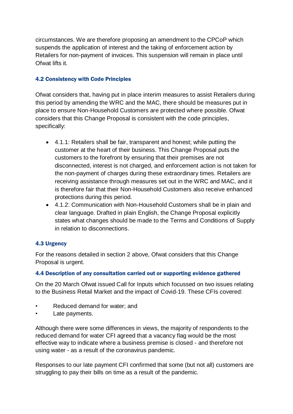circumstances. We are therefore proposing an amendment to the CPCoP which suspends the application of interest and the taking of enforcement action by Retailers for non-payment of invoices. This suspension will remain in place until Ofwat lifts it.

## 4.2 Consistency with Code Principles

Ofwat considers that, having put in place interim measures to assist Retailers during this period by amending the WRC and the MAC, there should be measures put in place to ensure Non-Household Customers are protected where possible. Ofwat considers that this Change Proposal is consistent with the code principles, specifically:

- 4.1.1: Retailers shall be fair, transparent and honest; while putting the customer at the heart of their business. This Change Proposal puts the customers to the forefront by ensuring that their premises are not disconnected, interest is not charged, and enforcement action is not taken for the non-payment of charges during these extraordinary times. Retailers are receiving assistance through measures set out in the WRC and MAC, and it is therefore fair that their Non-Household Customers also receive enhanced protections during this period.
- 4.1.2: Communication with Non-Household Customers shall be in plain and clear language. Drafted in plain English, the Change Proposal explicitly states what changes should be made to the Terms and Conditions of Supply in relation to disconnections.

## 4.3 Urgency

For the reasons detailed in section 2 above, Ofwat considers that this Change Proposal is urgent.

## 4.4 Description of any consultation carried out or supporting evidence gathered

On the 20 March Ofwat issued Call for Inputs which focussed on two issues relating to the Business Retail Market and the impact of Covid-19. These CFIs covered:

- Reduced demand for water; and
- Late payments.

Although there were some differences in views, the majority of respondents to the reduced demand for water CFI agreed that a vacancy flag would be the most effective way to indicate where a business premise is closed - and therefore not using water - as a result of the coronavirus pandemic.

Responses to our late payment CFI confirmed that some (but not all) customers are struggling to pay their bills on time as a result of the pandemic.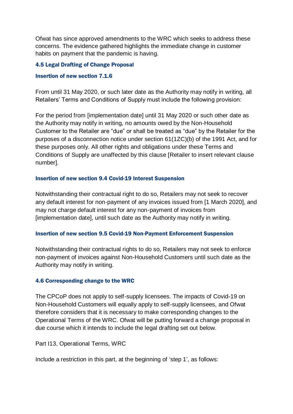Ofwat has since approved amendments to the WRC which seeks to address these concerns. The evidence gathered highlights the immediate change in customer habits on payment that the pandemic is having.

## 4.5 Legal Drafting of Change Proposal

#### Insertion of new section 7.1.6

From until 31 May 2020, or such later date as the Authority may notify in writing, all Retailers' Terms and Conditions of Supply must include the following provision:

For the period from [implementation date] until 31 May 2020 or such other date as the Authority may notify in writing, no amounts owed by the Non-Household Customer to the Retailer are "due" or shall be treated as "due" by the Retailer for the purposes of a disconnection notice under section 61(1ZC)(b) of the 1991 Act, and for these purposes only. All other rights and obligations under these Terms and Conditions of Supply are unaffected by this clause [Retailer to insert relevant clause number].

## Insertion of new section 9.4 Covid-19 Interest Suspension

Notwithstanding their contractual right to do so, Retailers may not seek to recover any default interest for non-payment of any invoices issued from [1 March 2020], and may not charge default interest for any non-payment of invoices from [implementation date], until such date as the Authority may notify in writing.

## Insertion of new section 9.5 Covid-19 Non-Payment Enforcement Suspension

Notwithstanding their contractual rights to do so, Retailers may not seek to enforce non-payment of invoices against Non-Household Customers until such date as the Authority may notify in writing.

## 4.6 Corresponding change to the WRC

The CPCoP does not apply to self-supply licensees. The impacts of Covid-19 on Non-Household Customers will equally apply to self-supply licensees, and Ofwat therefore considers that it is necessary to make corresponding changes to the Operational Terms of the WRC. Ofwat will be putting forward a change proposal in due course which it intends to include the legal drafting set out below.

## Part I13, Operational Terms, WRC

Include a restriction in this part, at the beginning of 'step 1', as follows: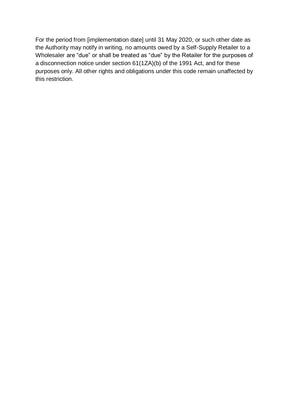For the period from [implementation date] until 31 May 2020, or such other date as the Authority may notify in writing, no amounts owed by a Self-Supply Retailer to a Wholesaler are "due" or shall be treated as "due" by the Retailer for the purposes of a disconnection notice under section 61(1ZA)(b) of the 1991 Act, and for these purposes only. All other rights and obligations under this code remain unaffected by this restriction.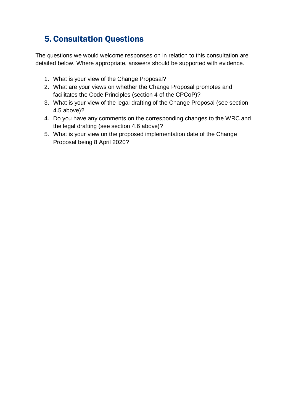# 5. Consultation Questions

The questions we would welcome responses on in relation to this consultation are detailed below. Where appropriate, answers should be supported with evidence.

- 1. What is your view of the Change Proposal?
- 2. What are your views on whether the Change Proposal promotes and facilitates the Code Principles (section 4 of the CPCoP)?
- 3. What is your view of the legal drafting of the Change Proposal (see section 4.5 above)?
- 4. Do you have any comments on the corresponding changes to the WRC and the legal drafting (see section 4.6 above)?
- 5. What is your view on the proposed implementation date of the Change Proposal being 8 April 2020?